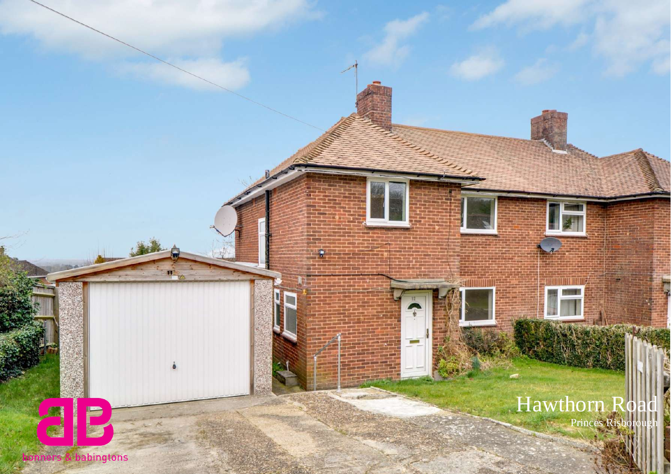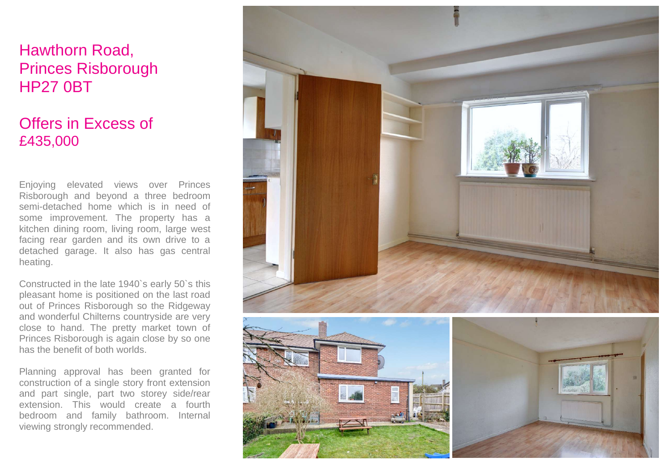## Hawthorn Road, Princes Risborough HP27 0BT

## Offers in Excess of £435,000

Enjoying elevated views over Princes Risborough and beyond a three bedroom semi-detached home which is in need of some improvement. The property has a kitchen dining room, living room, large west facing rear garden and its own drive to a detached garage. It also has gas central heating.

Constructed in the late 1940`s early 50`s this pleasant home is positioned on the last road out of Princes Risborough so the Ridgeway and wonderful Chilterns countryside are very close to hand. The pretty market town of Princes Risborough is again close by so one has the benefit of both worlds.

Planning approval has been granted for construction of a single story front extension and part single, part two storey side/rear extension. This would create a fourth bedroom and family bathroom. Internal viewing strongly recommended.

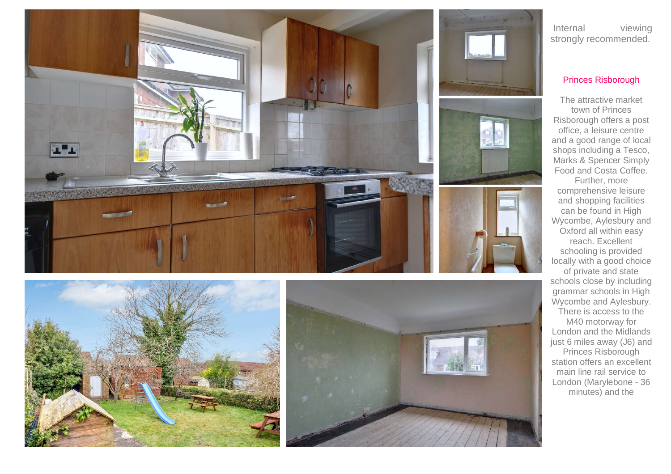









Internal viewing strongly recommended.

## Princes Risborough

The attractive market town of Princes Risborough offers a post office, a leisure centre and a good range of local shops including a Tesco, Marks & Spencer Simply Food and Costa Coffee.

Further, more comprehensive leisure and shopping facilities can be found in High Wycombe, Aylesbury and Oxford all within easy reach. Excellent schooling is provided locally with a good choice of private and state schools close by including grammar schools in High Wycombe and Aylesbury. There is access to the M40 motorway for London and the Midlands just 6 miles away (J6) and Princes Risborough station offers an excellent main line rail service to London (Marylebone - 36

minutes) and the